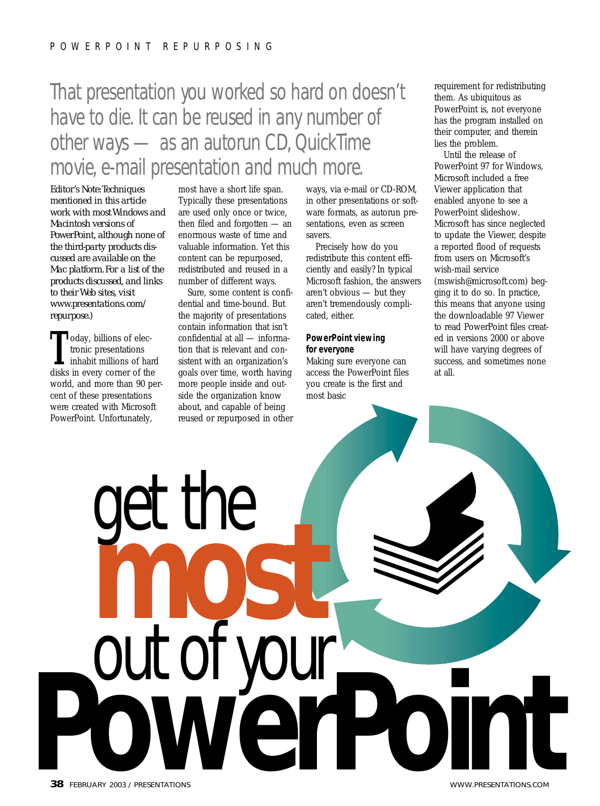# That presentation you worked so hard on doesn't have to die. It can be reused in any number of other ways — as an autorun CD, QuickTime movie, e-mail presentation and much more.

*Editor's Note:Techniques mentioned in this article work with most Windows and Macintosh versions of PowerPoint, although none of the third-party products discussed are available on the Mac platform. For a list of the products discussed, and links to their Web sites, visit www.presentations. com/ repurpose.)*

**T** oday, billions of electronic presentations<br>
inhabit millions of hard<br>
disks in every corner of the tronic presentations disks in every corner of the world, and more than 90 percent of these presentations were created with Microsoft PowerPoint. Unfortunately,

most have a short life span. Typically these presentations are used only once or twice, then filed and forgotten — an enormous waste of time and valuable information. Yet this content can be repurposed, redistributed and reused in a number of different ways.

Sure, some content is confidential and time-bound. But the majority of presentations contain information that isn't confidential at all — information that is relevant and consistent with an organization's goals over time, worth having more people inside and outside the organization know about, and capable of being reused or repurposed in other

get the **most** 

ways, via e-mail or CD-ROM, in other presentations or software formats, as autorun presentations, even as screen savers.

Precisely how do you redistribute this content efficiently and easily? In typical Microsoft fashion, the answers aren't obvious — but they aren't tremendously complicated, either.

# **PowerPoint viewing for everyone**

Making sure everyone can access the PowerPoint files you create is the first and most basic

requirement for redistributing them. As ubiquitous as PowerPoint is, not everyone has the program installed on their computer, and therein lies the problem.

Until the release of PowerPoint 97 for Windows, Microsoft included a free Viewer application that enabled anyone to see a PowerPoint slideshow. Microsoft has since neglected to update the Viewer, despite a reported flood of requests from users on Microsoft's wish-mail service (mswish@microsoft.com) begging it to do so. In practice, this means that anyone using the downloadable 97 Viewer to read PowerPoint files created in versions 2000 or above will have varying degrees of success, and sometimes none at all.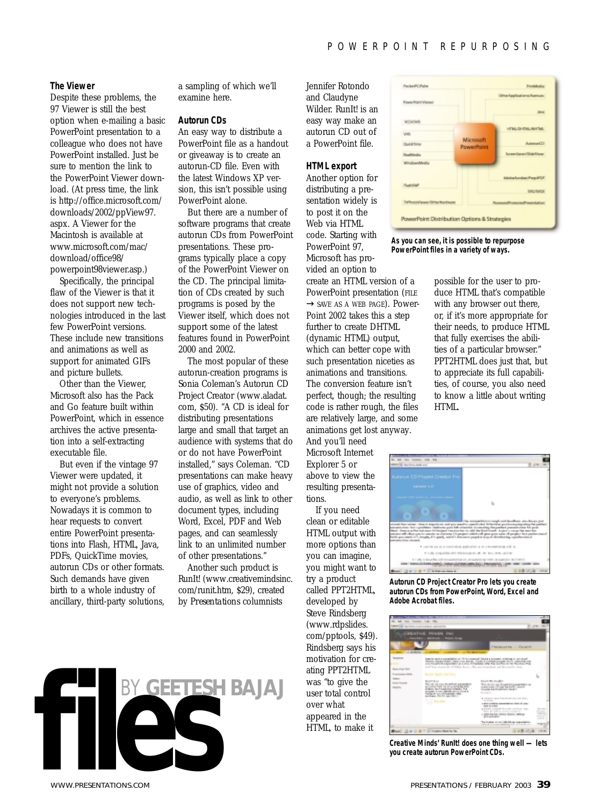## **The Viewer**

Despite these problems, the 97 Viewer is still the best option when e-mailing a basic PowerPoint presentation to a colleague who does not have PowerPoint installed. Just be sure to mention the link to the PowerPoint Viewer download. (At press time, the link is http://office.microsoft.com/ downloads/2002/ppView97. aspx. A Viewer for the Macintosh is available at www.microsoft.com/mac/ download/office98/ powerpoint98viewer.asp.)

Specifically, the principal flaw of the Viewer is that it does not support new technologies introduced in the last few PowerPoint versions. These include new transitions and animations as well as support for animated GIFs and picture bullets.

Other than the Viewer, Microsoft also has the Pack and Go feature built within PowerPoint, which in essence archives the active presentation into a self-extracting executable file.

But even if the vintage 97 Viewer were updated, it might not provide a solution to everyone's problems. Nowadays it is common to hear requests to convert entire PowerPoint presentations into Flash, HTML, Java, PDFs, QuickTime movies, autorun CDs or other formats. Such demands have given birth to a whole industry of ancillary, third-party solutions,

a sampling of which we'll examine here.

#### **Autorun CDs**

An easy way to distribute a PowerPoint file as a handout or giveaway is to create an autorun-CD file. Even with the latest Windows XP version, this isn't possible using PowerPoint alone.

But there are a number of software programs that create autorun CDs from PowerPoint presentations. These programs typically place a copy of the PowerPoint Viewer on the CD. The principal limitation of CDs created by such programs is posed by the Viewer itself, which does not support some of the latest features found in PowerPoint 2000 and 2002.

The most popular of these autorun-creation programs is Sonia Coleman's Autorun CD Project Creator (www.aladat. com, \$50). "A CD is ideal for distributing presentations large and small that target an audience with systems that do or do not have PowerPoint installed," says Coleman. "CD presentations can make heavy use of graphics, video and audio, as well as link to other document types, including Word, Excel, PDF and Web pages, and can seamlessly link to an unlimited number of other presentations."

Another such product is RunIt! (www.creativemindsinc. com/runit.htm, \$29), created by *Presentations* columnists

Jennifer Rotondo and Claudyne Wilder. RunIt! is an easy way make an autorun CD out of a PowerPoint file.

#### **HTML export**

Another option for distributing a presentation widely is to post it on the Web via HTML code. Starting with PowerPoint 97, Microsoft has provided an option to create an HTML version of a PowerPoint presentation (FILE  $\rightarrow$  SAVE AS A WEB PAGE). Power-Point 2002 takes this a step further to create DHTML (dynamic HTML) output, which can better cope with such presentation niceties as animations and transitions. The conversion feature isn't perfect, though; the resulting code is rather rough, the files are relatively large, and some animations get lost anyway.

And you'll need Microsoft Internet Explorer 5 or above to view the resulting presentations.

If you need clean or editable HTML output with more options than you can imagine, you might want to try a product called PPT2HTML, developed by Steve Rindsberg (www.rdpslides. com/pptools, \$49). Rindsberg says his motivation for creating PPT2HTML was "to give the user total control over what appeared in the HTML, to make it



**As you can see, it is possible to repurpose PowerPoint files in a variety of ways.**

possible for the user to produce HTML that's compatible with any browser out there, or, if it's more appropriate for their needs, to produce HTML that fully exercises the abilities of a particular browser." PPT2HTML does just that, but to appreciate its full capabilities, of course, you also need to know a little about writing HTML.



**Autorun CD Project Creator Pro lets you create autorun CDs from PowerPoint, Word, Excel and Adobe Acrobat files.**



**Creative Minds' RunIt! does one thing well — lets you create autorun PowerPoint CDs.**

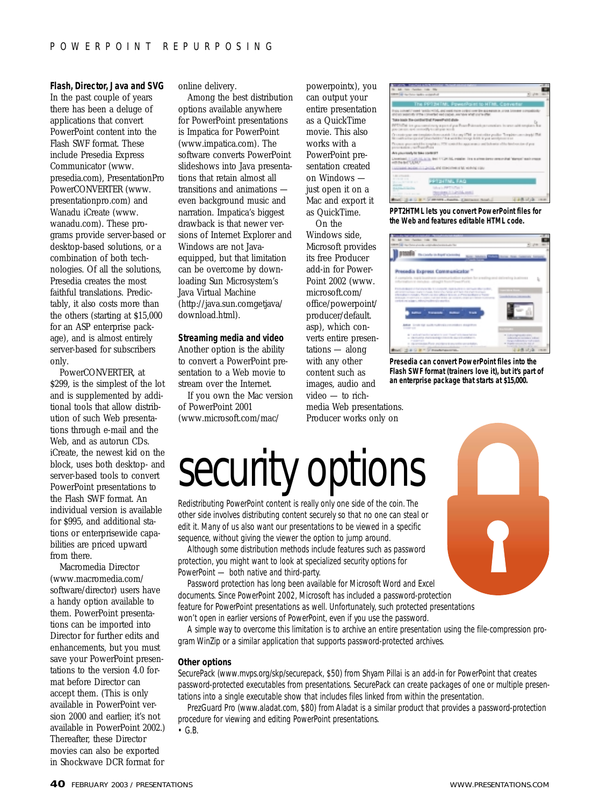# **Flash, Director, Java and SVG**

In the past couple of years there has been a deluge of applications that convert PowerPoint content into the Flash SWF format. These include Presedia Express Communicator (www. presedia.com), PresentationPro PowerCONVERTER (www. presentationpro.com) and Wanadu iCreate (www. wanadu.com). These programs provide server-based or desktop-based solutions, or a combination of both technologies. Of all the solutions, Presedia creates the most faithful translations. Predictably, it also costs more than the others (starting at \$15,000 for an ASP enterprise package), and is almost entirely server-based for subscribers only.

PowerCONVERTER, at \$299, is the simplest of the lot and is supplemented by additional tools that allow distribution of such Web presentations through e-mail and the Web, and as autorun CDs. iCreate, the newest kid on the block, uses both desktop- and server-based tools to convert PowerPoint presentations to the Flash SWF format. An individual version is available for \$995, and additional stations or enterprisewide capabilities are priced upward from there.

Macromedia Director (www.macromedia.com/ software/director) users have a handy option available to them. PowerPoint presentations can be imported into Director for further edits and enhancements, but you must save your PowerPoint presentations to the version 4.0 format before Director can accept them. (This is only available in PowerPoint version 2000 and earlier; it's not available in PowerPoint 2002.) Thereafter, these Director movies can also be exported in Shockwave DCR format for

online delivery.

Among the best distribution options available anywhere for PowerPoint presentations is Impatica for PowerPoint (www.impatica.com). The software converts PowerPoint slideshows into Java presentations that retain almost all transitions and animations even background music and narration. Impatica's biggest drawback is that newer versions of Internet Explorer and Windows are not Javaequipped, but that limitation can be overcome by downloading Sun Microsystem's Java Virtual Machine (http://java.sun.comgetjava/ download.html).

# **Streaming media and video**

Another option is the ability to convert a PowerPoint presentation to a Web movie to stream over the Internet.

If you own the Mac version of PowerPoint 2001 (www.microsoft.com/mac/

powerpointx), you can output your entire presentation as a QuickTime movie. This also works with a PowerPoint presentation created on Windows just open it on a Mac and export it as QuickTime. On the

Windows side, Microsoft provides its free Producer add-in for Power-Point 2002 (www. microsoft.com/ office/powerpoint/ producer/default. asp), which converts entire presentations — along with any other content such as images, audio and video — to rich-

and "artificial and cost more colorized lineary **START LOOKING AND RED** 

**PPT2HTML lets you convert PowerPoint files for the Web and features editable HTML code.**



**Presedia can convert PowerPoint files into the Flash SWF format (trainers love it), but it's part of an enterprise package that starts at \$15,000.**

media Web presentations. Producer works only on

# security options

Redistributing PowerPoint content is really only one side of the coin. The other side involves distributing content securely so that no one can steal or edit it. Many of us also want our presentations to be viewed in a specific sequence, without giving the viewer the option to jump around.

Although some distribution methods include features such as password protection, you might want to look at specialized security options for PowerPoint — both native and third-party.

Password protection has long been available for Microsoft Word and Excel documents. Since PowerPoint 2002, Microsoft has included a password-protection feature for PowerPoint presentations as well. Unfortunately, such protected presentations won't open in earlier versions of PowerPoint, even if you use the password.

A simple way to overcome this limitation is to archive an entire presentation using the file-compression program WinZip or a similar application that supports password-protected archives.

#### **Other options**

SecurePack (www.mvps.org/skp/securepack, \$50) from Shyam Pillai is an add-in for PowerPoint that creates password-protected executables from presentations. SecurePack can create packages of one or multiple presentations into a single executable show that includes files linked from within the presentation.

PrezGuard Pro (www.aladat.com, \$80) from Aladat is a similar product that provides a password-protection procedure for viewing and editing PowerPoint presentations.

 $\cdot$  G.B.